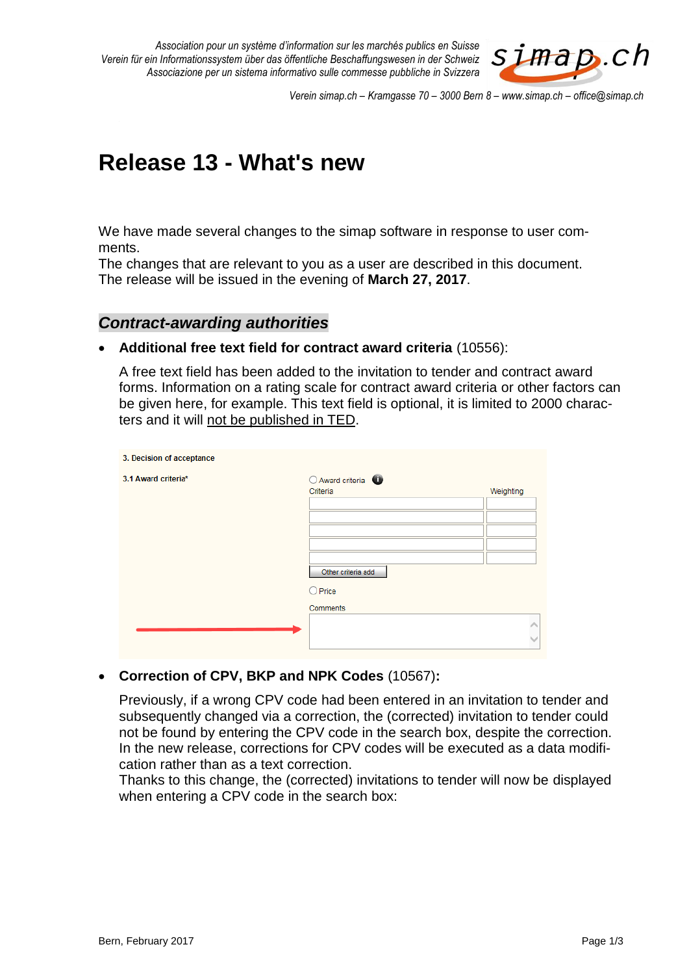*Association pour un système d'information sur les marchés publics en Suisse Verein für ein Informationssystem über das öffentliche Beschaffungswesen in der Schweiz Associazione per un sistema informativo sulle commesse pubbliche in Svizzera*



*Verein simap.ch – Kramgasse 70 – 3000 Bern 8 – www.simap.ch – office@simap.ch*

# **Release 13 - What's new**

We have made several changes to the simap software in response to user comments.

The changes that are relevant to you as a user are described in this document. The release will be issued in the evening of **March 27, 2017**.

### *Contract-awarding authorities*

#### **Additional free text field for contract award criteria** (10556):

A free text field has been added to the invitation to tender and contract award forms. Information on a rating scale for contract award criteria or other factors can be given here, for example. This text field is optional, it is limited to 2000 characters and it will not be published in TED.

| 3. Decision of acceptance |                             |           |
|---------------------------|-----------------------------|-----------|
| 3.1 Award criteria*       | Award criteria <sup>0</sup> |           |
|                           | Criteria                    | Weighting |
|                           |                             |           |
|                           |                             |           |
|                           |                             |           |
|                           |                             |           |
|                           |                             |           |
|                           | Other criteria add          |           |
|                           | $O$ Price                   |           |
|                           | Comments                    |           |
|                           |                             |           |
|                           |                             |           |
|                           |                             |           |

**Correction of CPV, BKP and NPK Codes** (10567)**:**

Previously, if a wrong CPV code had been entered in an invitation to tender and subsequently changed via a correction, the (corrected) invitation to tender could not be found by entering the CPV code in the search box, despite the correction. In the new release, corrections for CPV codes will be executed as a data modification rather than as a text correction.

Thanks to this change, the (corrected) invitations to tender will now be displayed when entering a CPV code in the search box: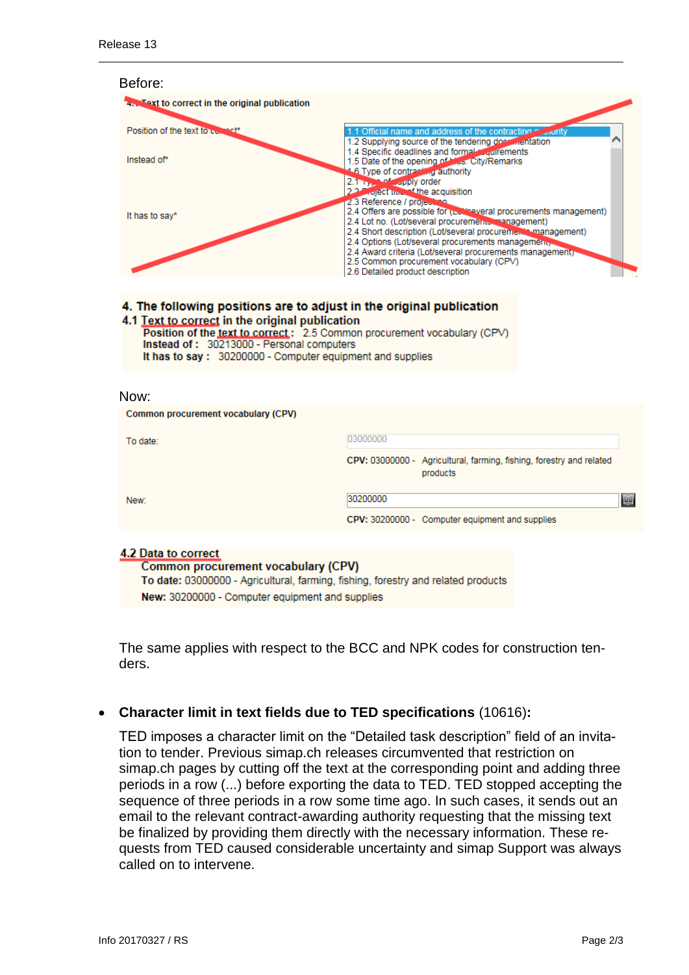| Before:                                                                                                                                                                                                                                                                                                       |                                                                                                         |                                                                                                                                                                                                                                                                                                                                                          |
|---------------------------------------------------------------------------------------------------------------------------------------------------------------------------------------------------------------------------------------------------------------------------------------------------------------|---------------------------------------------------------------------------------------------------------|----------------------------------------------------------------------------------------------------------------------------------------------------------------------------------------------------------------------------------------------------------------------------------------------------------------------------------------------------------|
| 4. Text to correct in the original publication                                                                                                                                                                                                                                                                |                                                                                                         |                                                                                                                                                                                                                                                                                                                                                          |
| Position of the text to use that*                                                                                                                                                                                                                                                                             |                                                                                                         | 1.1 Official name and address of the contracting<br>1.2 Supplying source of the tendering does mentation                                                                                                                                                                                                                                                 |
| Instead of*                                                                                                                                                                                                                                                                                                   | 4.6 Type of contracting authority<br>2.1 <b>Property</b> apply order                                    | 1.4 Specific deadlines and formal courrements<br>1.5 Date of the opening of hiss. City/Remarks                                                                                                                                                                                                                                                           |
| It has to say*                                                                                                                                                                                                                                                                                                | 2.2. Florect time of the acquisition<br>2.3 Reference / project no.<br>2.6 Detailed product description | 2.4 Offers are possible for (Let's everal procurements management)<br>2.4 Lot no. (Lot/several procurements, management)<br>2.4 Short description (Lot/several procuremulational management)<br>2.4 Options (Lot/several procurements management,<br>2.4 Award criteria (Lot/several procurements management)<br>2.5 Common procurement vocabulary (CPV) |
| 4. The following positions are to adjust in the original publication<br>4.1 Text to correct in the original publication<br>Position of the text to correct: 2.5 Common procurement vocabulary (CPV)<br>Instead of: 30213000 - Personal computers<br>It has to say: 30200000 - Computer equipment and supplies |                                                                                                         |                                                                                                                                                                                                                                                                                                                                                          |
| Now:                                                                                                                                                                                                                                                                                                          |                                                                                                         |                                                                                                                                                                                                                                                                                                                                                          |
| Common procurement vocabulary (CPV)                                                                                                                                                                                                                                                                           |                                                                                                         |                                                                                                                                                                                                                                                                                                                                                          |
| To date:                                                                                                                                                                                                                                                                                                      | 03000000                                                                                                |                                                                                                                                                                                                                                                                                                                                                          |
|                                                                                                                                                                                                                                                                                                               |                                                                                                         | CPV: 03000000 - Agricultural, farming, fishing, forestry and related<br>producto.                                                                                                                                                                                                                                                                        |

|      | products                                        |   |
|------|-------------------------------------------------|---|
| New: | 30200000                                        | 匪 |
|      | CPV: 30200000 - Computer equipment and supplies |   |
|      |                                                 |   |

#### 4.2 Data to correct

Common procurement vocabulary (CPV) To date: 03000000 - Agricultural, farming, fishing, forestry and related products New: 30200000 - Computer equipment and supplies

The same applies with respect to the BCC and NPK codes for construction tenders.

# **Character limit in text fields due to TED specifications** (10616)**:**

TED imposes a character limit on the "Detailed task description" field of an invitation to tender. Previous simap.ch releases circumvented that restriction on simap.ch pages by cutting off the text at the corresponding point and adding three periods in a row (...) before exporting the data to TED. TED stopped accepting the sequence of three periods in a row some time ago. In such cases, it sends out an email to the relevant contract-awarding authority requesting that the missing text be finalized by providing them directly with the necessary information. These requests from TED caused considerable uncertainty and simap Support was always called on to intervene.